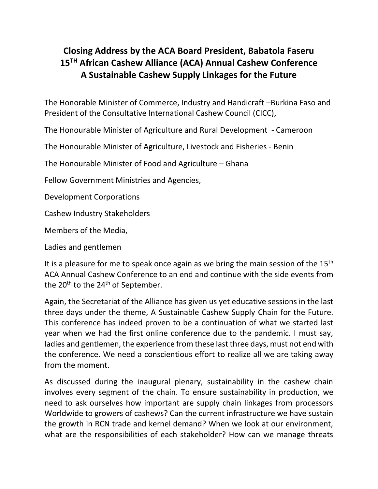## **Closing Address by the ACA Board President, Babatola Faseru 15 TH African Cashew Alliance (ACA) Annual Cashew Conference A Sustainable Cashew Supply Linkages for the Future**

The Honorable Minister of Commerce, Industry and Handicraft –Burkina Faso and President of the Consultative International Cashew Council (CICC),

The Honourable Minister of Agriculture and Rural Development - Cameroon

The Honourable Minister of Agriculture, Livestock and Fisheries - Benin

The Honourable Minister of Food and Agriculture – Ghana

Fellow Government Ministries and Agencies,

Development Corporations

Cashew Industry Stakeholders

Members of the Media,

Ladies and gentlemen

It is a pleasure for me to speak once again as we bring the main session of the  $15<sup>th</sup>$ ACA Annual Cashew Conference to an end and continue with the side events from the  $20<sup>th</sup>$  to the  $24<sup>th</sup>$  of September.

Again, the Secretariat of the Alliance has given us yet educative sessions in the last three days under the theme, A Sustainable Cashew Supply Chain for the Future. This conference has indeed proven to be a continuation of what we started last year when we had the first online conference due to the pandemic. I must say, ladies and gentlemen, the experience from these last three days, must not end with the conference. We need a conscientious effort to realize all we are taking away from the moment.

As discussed during the inaugural plenary, sustainability in the cashew chain involves every segment of the chain. To ensure sustainability in production, we need to ask ourselves how important are supply chain linkages from processors Worldwide to growers of cashews? Can the current infrastructure we have sustain the growth in RCN trade and kernel demand? When we look at our environment, what are the responsibilities of each stakeholder? How can we manage threats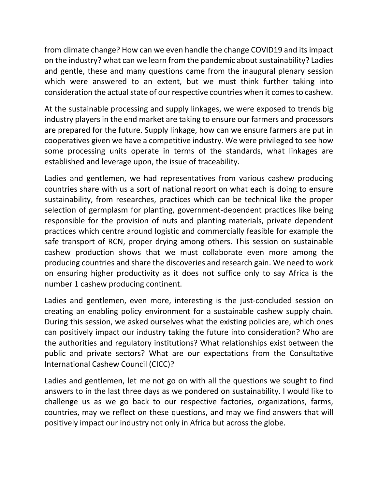from climate change? How can we even handle the change COVID19 and its impact on the industry? what can we learn from the pandemic about sustainability? Ladies and gentle, these and many questions came from the inaugural plenary session which were answered to an extent, but we must think further taking into consideration the actual state of our respective countries when it comes to cashew.

At the sustainable processing and supply linkages, we were exposed to trends big industry players in the end market are taking to ensure our farmers and processors are prepared for the future. Supply linkage, how can we ensure farmers are put in cooperatives given we have a competitive industry. We were privileged to see how some processing units operate in terms of the standards, what linkages are established and leverage upon, the issue of traceability.

Ladies and gentlemen, we had representatives from various cashew producing countries share with us a sort of national report on what each is doing to ensure sustainability, from researches, practices which can be technical like the proper selection of germplasm for planting, government-dependent practices like being responsible for the provision of nuts and planting materials, private dependent practices which centre around logistic and commercially feasible for example the safe transport of RCN, proper drying among others. This session on sustainable cashew production shows that we must collaborate even more among the producing countries and share the discoveries and research gain. We need to work on ensuring higher productivity as it does not suffice only to say Africa is the number 1 cashew producing continent.

Ladies and gentlemen, even more, interesting is the just-concluded session on creating an enabling policy environment for a sustainable cashew supply chain. During this session, we asked ourselves what the existing policies are, which ones can positively impact our industry taking the future into consideration? Who are the authorities and regulatory institutions? What relationships exist between the public and private sectors? What are our expectations from the Consultative International Cashew Council (CICC)?

Ladies and gentlemen, let me not go on with all the questions we sought to find answers to in the last three days as we pondered on sustainability. I would like to challenge us as we go back to our respective factories, organizations, farms, countries, may we reflect on these questions, and may we find answers that will positively impact our industry not only in Africa but across the globe.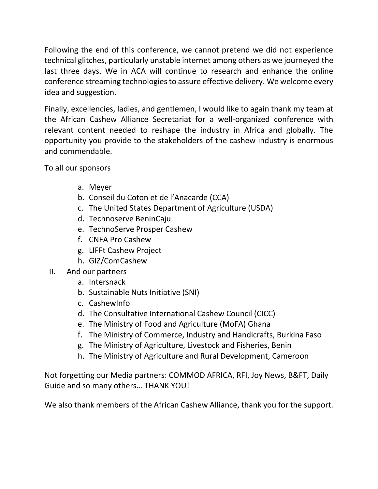Following the end of this conference, we cannot pretend we did not experience technical glitches, particularly unstable internet among others as we journeyed the last three days. We in ACA will continue to research and enhance the online conference streaming technologies to assure effective delivery. We welcome every idea and suggestion.

Finally, excellencies, ladies, and gentlemen, I would like to again thank my team at the African Cashew Alliance Secretariat for a well-organized conference with relevant content needed to reshape the industry in Africa and globally. The opportunity you provide to the stakeholders of the cashew industry is enormous and commendable.

To all our sponsors

- a. Meyer
- b. Conseil du Coton et de l'Anacarde (CCA)
- c. The United States Department of Agriculture (USDA)
- d. Technoserve BeninCaju
- e. TechnoServe Prosper Cashew
- f. CNFA Pro Cashew
- g. LIFFt Cashew Project
- h. GIZ/ComCashew
- II. And our partners
	- a. Intersnack
	- b. Sustainable Nuts Initiative (SNI)
	- c. CashewInfo
	- d. The Consultative International Cashew Council (CICC)
	- e. The Ministry of Food and Agriculture (MoFA) Ghana
	- f. The Ministry of Commerce, Industry and Handicrafts, Burkina Faso
	- g. The Ministry of Agriculture, Livestock and Fisheries, Benin
	- h. The Ministry of Agriculture and Rural Development, Cameroon

Not forgetting our Media partners: COMMOD AFRICA, RFI, Joy News, B&FT, Daily Guide and so many others… THANK YOU!

We also thank members of the African Cashew Alliance, thank you for the support.